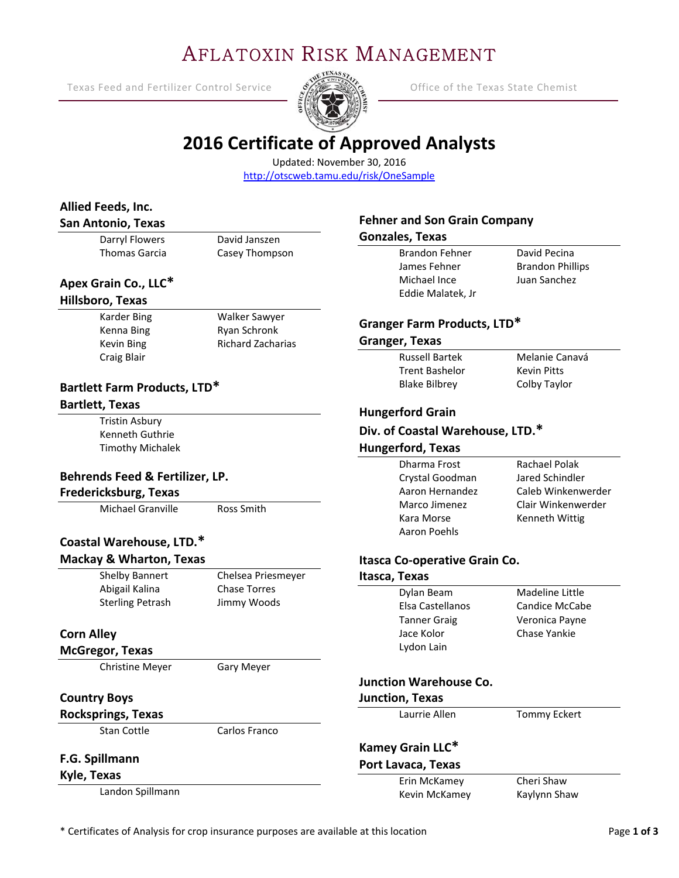# AFLATOXIN RISK MANAGEMENT

Texas Feed and Fertilizer Control Service  $\frac{S}{S}$  Service Office of the Texas State Chemist

Ξ



David Pecina Brandon Phillips Juan Sanchez

Melanie Canavá Kevin Pitts Colby Taylor

Rachael Polak Jared Schindler Caleb Winkenwerder Clair Winkenwerder Kenneth Wittig

Madeline Little Candice McCabe Veronica Payne Chase Yankie

Tommy Eckert

Cheri Shaw Kaylynn Shaw

# **2016 Certificate of Approved Analysts**

Updated: November 30, 2016 http://otscweb.tamu.edu/risk/OneSample

| Allied Feeds, Inc.                               |                          |                                     |              |
|--------------------------------------------------|--------------------------|-------------------------------------|--------------|
| <b>San Antonio, Texas</b>                        |                          | <b>Fehner and Son Grain Company</b> |              |
| <b>Darryl Flowers</b>                            | David Janszen            | <b>Gonzales, Texas</b>              |              |
| <b>Thomas Garcia</b>                             | Casey Thompson           | <b>Brandon Fehner</b>               | David        |
|                                                  |                          | James Fehner                        | <b>Brand</b> |
| Apex Grain Co., LLC*                             |                          | Michael Ince                        | Juan S       |
| Hillsboro, Texas                                 |                          | Eddie Malatek, Jr                   |              |
| <b>Karder Bing</b>                               | Walker Sawyer            | Granger Farm Products, LTD*         |              |
| Kenna Bing                                       | Ryan Schronk             |                                     |              |
| Kevin Bing                                       | <b>Richard Zacharias</b> | <b>Granger, Texas</b>               |              |
| Craig Blair                                      |                          | <b>Russell Bartek</b>               | Melar        |
|                                                  |                          | <b>Trent Bashelor</b>               | Kevin        |
| Bartlett Farm Products, LTD*                     |                          | <b>Blake Bilbrey</b>                | Colby        |
| <b>Bartlett, Texas</b>                           |                          | <b>Hungerford Grain</b>             |              |
| <b>Tristin Asbury</b>                            |                          | Div. of Coastal Warehouse, LTD.*    |              |
| Kenneth Guthrie                                  |                          |                                     |              |
| <b>Timothy Michalek</b>                          |                          | <b>Hungerford, Texas</b>            |              |
|                                                  |                          | Dharma Frost                        | Racha        |
| Behrends Feed & Fertilizer, LP.                  |                          | Crystal Goodman                     | Jared        |
| <b>Fredericksburg, Texas</b>                     |                          | Aaron Hernandez                     | Caleb        |
| Michael Granville                                | Ross Smith               | Marco Jimenez                       | Clair V      |
|                                                  |                          | Kara Morse                          | Kenne        |
| Coastal Warehouse, LTD.*                         |                          | Aaron Poehls                        |              |
| <b>Mackay &amp; Wharton, Texas</b>               |                          | Itasca Co-operative Grain Co.       |              |
| Shelby Bannert                                   | Chelsea Priesmeyer       | Itasca, Texas                       |              |
| Abigail Kalina                                   | <b>Chase Torres</b>      | Dylan Beam                          | Made         |
| <b>Sterling Petrash</b>                          | Jimmy Woods              | Elsa Castellanos                    | Candi        |
|                                                  |                          |                                     | Veron        |
|                                                  |                          | <b>Tanner Graig</b><br>Jace Kolor   | Chase        |
| <b>Corn Alley</b>                                |                          | Lydon Lain                          |              |
| <b>McGregor, Texas</b><br><b>Christine Meyer</b> | <b>Gary Meyer</b>        |                                     |              |
|                                                  |                          | <b>Junction Warehouse Co.</b>       |              |
| <b>Country Boys</b>                              |                          | <b>Junction, Texas</b>              |              |
| <b>Rocksprings, Texas</b>                        |                          | Laurrie Allen                       | Tomm         |
| <b>Stan Cottle</b>                               | Carlos Franco            |                                     |              |
|                                                  |                          | Kamey Grain LLC*                    |              |
| F.G. Spillmann                                   |                          | Port Lavaca, Texas                  |              |
| Kyle, Texas                                      |                          | Erin McKamey                        | Cheri        |
| Landon Spillmann                                 |                          | Kevin McKamey                       | Kaylyr       |
|                                                  |                          |                                     |              |

\* Certificates of Analysis for crop insurance purposes are available at this location Page **1 of 3**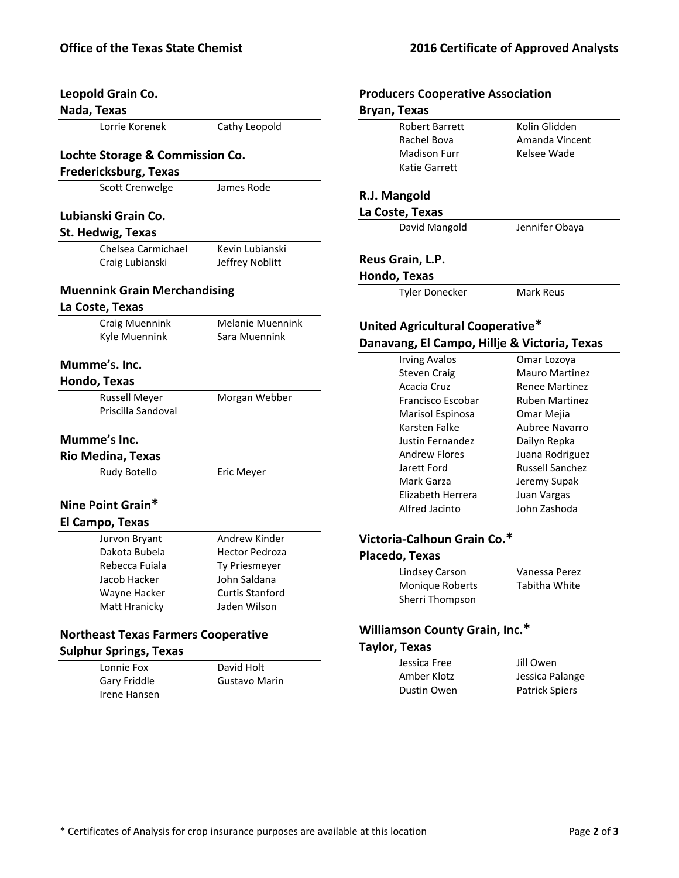| Kolin<br>Lorrie Korenek<br>Cathy Leopold<br><b>Robert Barrett</b><br>Rachel Bova<br>Amar<br><b>Madison Furr</b><br>Lochte Storage & Commission Co.<br><b>Katie Garrett</b><br><b>Fredericksburg, Texas</b><br><b>Scott Crenwelge</b><br>James Rode<br>R.J. Mangold<br>La Coste, Texas<br>Lubianski Grain Co.<br>David Mangold<br>St. Hedwig, Texas<br>Kevin Lubianski<br>Chelsea Carmichael<br>Reus Grain, L.P.<br>Craig Lubianski<br>Jeffrey Noblitt<br>Hondo, Texas<br><b>Muennink Grain Merchandising</b><br><b>Tyler Donecker</b><br>La Coste, Texas<br><b>Melanie Muennink</b><br><b>Craig Muennink</b><br>Kyle Muennink<br>Sara Muennink<br><b>Irving Avalos</b><br>Mumme's. Inc.<br><b>Steven Craig</b><br>Hondo, Texas<br>Acacia Cruz<br><b>Russell Meyer</b><br>Morgan Webber<br>Francisco Escobar<br>Priscilla Sandoval<br>Marisol Espinosa<br>Karsten Falke<br>Mumme's Inc.<br><b>Justin Fernandez</b><br><b>Andrew Flores</b><br><b>Rio Medina, Texas</b><br>Jarett Ford<br>Rudy Botello<br>Eric Meyer<br>Mark Garza<br>Elizabeth Herrera<br>Nine Point Grain*<br>Alfred Jacinto<br>El Campo, Texas<br>Victoria-Calhoun Grain Co.*<br>Andrew Kinder<br>Jurvon Bryant<br>Dakota Bubela<br><b>Hector Pedroza</b><br>Placedo, Texas<br>Rebecca Fuiala<br>Ty Priesmeyer<br><b>Lindsey Carson</b><br>John Saldana<br>Jacob Hacker<br>Monique Roberts<br><b>Curtis Stanford</b><br>Wayne Hacker<br>Sherri Thompson<br>Jaden Wilson<br>Matt Hranicky<br><b>Williamson County Grain, Inc.*</b><br><b>Northeast Texas Farmers Cooperative</b><br><b>Taylor, Texas</b><br><b>Sulphur Springs, Texas</b><br>Jessica Free<br>David Holt<br>Lonnie Fox<br>Amber Klotz<br>Gary Friddle<br>Gustavo Marin<br>Dustin Owen<br>Irene Hansen | Leopold Grain Co.<br>Nada, Texas | <b>Producers Cooperative Association</b><br>Bryan, Texas |  |
|--------------------------------------------------------------------------------------------------------------------------------------------------------------------------------------------------------------------------------------------------------------------------------------------------------------------------------------------------------------------------------------------------------------------------------------------------------------------------------------------------------------------------------------------------------------------------------------------------------------------------------------------------------------------------------------------------------------------------------------------------------------------------------------------------------------------------------------------------------------------------------------------------------------------------------------------------------------------------------------------------------------------------------------------------------------------------------------------------------------------------------------------------------------------------------------------------------------------------------------------------------------------------------------------------------------------------------------------------------------------------------------------------------------------------------------------------------------------------------------------------------------------------------------------------------------------------------------------------------------------------------------------------------------------------------------------------------------------------------------|----------------------------------|----------------------------------------------------------|--|
|                                                                                                                                                                                                                                                                                                                                                                                                                                                                                                                                                                                                                                                                                                                                                                                                                                                                                                                                                                                                                                                                                                                                                                                                                                                                                                                                                                                                                                                                                                                                                                                                                                                                                                                                      |                                  |                                                          |  |
| Kelse                                                                                                                                                                                                                                                                                                                                                                                                                                                                                                                                                                                                                                                                                                                                                                                                                                                                                                                                                                                                                                                                                                                                                                                                                                                                                                                                                                                                                                                                                                                                                                                                                                                                                                                                |                                  |                                                          |  |
| Jennit<br>Mark<br>United Agricultural Cooperative*<br>Danavang, El Campo, Hillje & Vict<br>Omar<br>Maur<br>Rene<br>Ruber<br>Omar<br>Aubre<br>Dailyr<br>Juana<br>Russe<br>Jerem<br>Juan <sup>1</sup><br>John :<br>Vanes<br>Tabitl<br>Jill Ov<br>Jessic<br>Patric                                                                                                                                                                                                                                                                                                                                                                                                                                                                                                                                                                                                                                                                                                                                                                                                                                                                                                                                                                                                                                                                                                                                                                                                                                                                                                                                                                                                                                                                      |                                  |                                                          |  |
|                                                                                                                                                                                                                                                                                                                                                                                                                                                                                                                                                                                                                                                                                                                                                                                                                                                                                                                                                                                                                                                                                                                                                                                                                                                                                                                                                                                                                                                                                                                                                                                                                                                                                                                                      |                                  |                                                          |  |
|                                                                                                                                                                                                                                                                                                                                                                                                                                                                                                                                                                                                                                                                                                                                                                                                                                                                                                                                                                                                                                                                                                                                                                                                                                                                                                                                                                                                                                                                                                                                                                                                                                                                                                                                      |                                  |                                                          |  |
|                                                                                                                                                                                                                                                                                                                                                                                                                                                                                                                                                                                                                                                                                                                                                                                                                                                                                                                                                                                                                                                                                                                                                                                                                                                                                                                                                                                                                                                                                                                                                                                                                                                                                                                                      |                                  |                                                          |  |
|                                                                                                                                                                                                                                                                                                                                                                                                                                                                                                                                                                                                                                                                                                                                                                                                                                                                                                                                                                                                                                                                                                                                                                                                                                                                                                                                                                                                                                                                                                                                                                                                                                                                                                                                      |                                  |                                                          |  |
|                                                                                                                                                                                                                                                                                                                                                                                                                                                                                                                                                                                                                                                                                                                                                                                                                                                                                                                                                                                                                                                                                                                                                                                                                                                                                                                                                                                                                                                                                                                                                                                                                                                                                                                                      |                                  |                                                          |  |
|                                                                                                                                                                                                                                                                                                                                                                                                                                                                                                                                                                                                                                                                                                                                                                                                                                                                                                                                                                                                                                                                                                                                                                                                                                                                                                                                                                                                                                                                                                                                                                                                                                                                                                                                      |                                  |                                                          |  |
|                                                                                                                                                                                                                                                                                                                                                                                                                                                                                                                                                                                                                                                                                                                                                                                                                                                                                                                                                                                                                                                                                                                                                                                                                                                                                                                                                                                                                                                                                                                                                                                                                                                                                                                                      |                                  |                                                          |  |
|                                                                                                                                                                                                                                                                                                                                                                                                                                                                                                                                                                                                                                                                                                                                                                                                                                                                                                                                                                                                                                                                                                                                                                                                                                                                                                                                                                                                                                                                                                                                                                                                                                                                                                                                      |                                  |                                                          |  |
|                                                                                                                                                                                                                                                                                                                                                                                                                                                                                                                                                                                                                                                                                                                                                                                                                                                                                                                                                                                                                                                                                                                                                                                                                                                                                                                                                                                                                                                                                                                                                                                                                                                                                                                                      |                                  |                                                          |  |
|                                                                                                                                                                                                                                                                                                                                                                                                                                                                                                                                                                                                                                                                                                                                                                                                                                                                                                                                                                                                                                                                                                                                                                                                                                                                                                                                                                                                                                                                                                                                                                                                                                                                                                                                      |                                  |                                                          |  |
|                                                                                                                                                                                                                                                                                                                                                                                                                                                                                                                                                                                                                                                                                                                                                                                                                                                                                                                                                                                                                                                                                                                                                                                                                                                                                                                                                                                                                                                                                                                                                                                                                                                                                                                                      |                                  |                                                          |  |
|                                                                                                                                                                                                                                                                                                                                                                                                                                                                                                                                                                                                                                                                                                                                                                                                                                                                                                                                                                                                                                                                                                                                                                                                                                                                                                                                                                                                                                                                                                                                                                                                                                                                                                                                      |                                  |                                                          |  |
|                                                                                                                                                                                                                                                                                                                                                                                                                                                                                                                                                                                                                                                                                                                                                                                                                                                                                                                                                                                                                                                                                                                                                                                                                                                                                                                                                                                                                                                                                                                                                                                                                                                                                                                                      |                                  |                                                          |  |
|                                                                                                                                                                                                                                                                                                                                                                                                                                                                                                                                                                                                                                                                                                                                                                                                                                                                                                                                                                                                                                                                                                                                                                                                                                                                                                                                                                                                                                                                                                                                                                                                                                                                                                                                      |                                  |                                                          |  |
|                                                                                                                                                                                                                                                                                                                                                                                                                                                                                                                                                                                                                                                                                                                                                                                                                                                                                                                                                                                                                                                                                                                                                                                                                                                                                                                                                                                                                                                                                                                                                                                                                                                                                                                                      |                                  |                                                          |  |
|                                                                                                                                                                                                                                                                                                                                                                                                                                                                                                                                                                                                                                                                                                                                                                                                                                                                                                                                                                                                                                                                                                                                                                                                                                                                                                                                                                                                                                                                                                                                                                                                                                                                                                                                      |                                  |                                                          |  |
|                                                                                                                                                                                                                                                                                                                                                                                                                                                                                                                                                                                                                                                                                                                                                                                                                                                                                                                                                                                                                                                                                                                                                                                                                                                                                                                                                                                                                                                                                                                                                                                                                                                                                                                                      |                                  |                                                          |  |
|                                                                                                                                                                                                                                                                                                                                                                                                                                                                                                                                                                                                                                                                                                                                                                                                                                                                                                                                                                                                                                                                                                                                                                                                                                                                                                                                                                                                                                                                                                                                                                                                                                                                                                                                      |                                  |                                                          |  |
|                                                                                                                                                                                                                                                                                                                                                                                                                                                                                                                                                                                                                                                                                                                                                                                                                                                                                                                                                                                                                                                                                                                                                                                                                                                                                                                                                                                                                                                                                                                                                                                                                                                                                                                                      |                                  |                                                          |  |
|                                                                                                                                                                                                                                                                                                                                                                                                                                                                                                                                                                                                                                                                                                                                                                                                                                                                                                                                                                                                                                                                                                                                                                                                                                                                                                                                                                                                                                                                                                                                                                                                                                                                                                                                      |                                  |                                                          |  |
|                                                                                                                                                                                                                                                                                                                                                                                                                                                                                                                                                                                                                                                                                                                                                                                                                                                                                                                                                                                                                                                                                                                                                                                                                                                                                                                                                                                                                                                                                                                                                                                                                                                                                                                                      |                                  |                                                          |  |
|                                                                                                                                                                                                                                                                                                                                                                                                                                                                                                                                                                                                                                                                                                                                                                                                                                                                                                                                                                                                                                                                                                                                                                                                                                                                                                                                                                                                                                                                                                                                                                                                                                                                                                                                      |                                  |                                                          |  |
|                                                                                                                                                                                                                                                                                                                                                                                                                                                                                                                                                                                                                                                                                                                                                                                                                                                                                                                                                                                                                                                                                                                                                                                                                                                                                                                                                                                                                                                                                                                                                                                                                                                                                                                                      |                                  |                                                          |  |
|                                                                                                                                                                                                                                                                                                                                                                                                                                                                                                                                                                                                                                                                                                                                                                                                                                                                                                                                                                                                                                                                                                                                                                                                                                                                                                                                                                                                                                                                                                                                                                                                                                                                                                                                      |                                  |                                                          |  |
|                                                                                                                                                                                                                                                                                                                                                                                                                                                                                                                                                                                                                                                                                                                                                                                                                                                                                                                                                                                                                                                                                                                                                                                                                                                                                                                                                                                                                                                                                                                                                                                                                                                                                                                                      |                                  |                                                          |  |
|                                                                                                                                                                                                                                                                                                                                                                                                                                                                                                                                                                                                                                                                                                                                                                                                                                                                                                                                                                                                                                                                                                                                                                                                                                                                                                                                                                                                                                                                                                                                                                                                                                                                                                                                      |                                  |                                                          |  |
|                                                                                                                                                                                                                                                                                                                                                                                                                                                                                                                                                                                                                                                                                                                                                                                                                                                                                                                                                                                                                                                                                                                                                                                                                                                                                                                                                                                                                                                                                                                                                                                                                                                                                                                                      |                                  |                                                          |  |
|                                                                                                                                                                                                                                                                                                                                                                                                                                                                                                                                                                                                                                                                                                                                                                                                                                                                                                                                                                                                                                                                                                                                                                                                                                                                                                                                                                                                                                                                                                                                                                                                                                                                                                                                      |                                  |                                                          |  |
|                                                                                                                                                                                                                                                                                                                                                                                                                                                                                                                                                                                                                                                                                                                                                                                                                                                                                                                                                                                                                                                                                                                                                                                                                                                                                                                                                                                                                                                                                                                                                                                                                                                                                                                                      |                                  |                                                          |  |
|                                                                                                                                                                                                                                                                                                                                                                                                                                                                                                                                                                                                                                                                                                                                                                                                                                                                                                                                                                                                                                                                                                                                                                                                                                                                                                                                                                                                                                                                                                                                                                                                                                                                                                                                      |                                  |                                                          |  |
|                                                                                                                                                                                                                                                                                                                                                                                                                                                                                                                                                                                                                                                                                                                                                                                                                                                                                                                                                                                                                                                                                                                                                                                                                                                                                                                                                                                                                                                                                                                                                                                                                                                                                                                                      |                                  |                                                          |  |
|                                                                                                                                                                                                                                                                                                                                                                                                                                                                                                                                                                                                                                                                                                                                                                                                                                                                                                                                                                                                                                                                                                                                                                                                                                                                                                                                                                                                                                                                                                                                                                                                                                                                                                                                      |                                  |                                                          |  |
|                                                                                                                                                                                                                                                                                                                                                                                                                                                                                                                                                                                                                                                                                                                                                                                                                                                                                                                                                                                                                                                                                                                                                                                                                                                                                                                                                                                                                                                                                                                                                                                                                                                                                                                                      |                                  |                                                          |  |
|                                                                                                                                                                                                                                                                                                                                                                                                                                                                                                                                                                                                                                                                                                                                                                                                                                                                                                                                                                                                                                                                                                                                                                                                                                                                                                                                                                                                                                                                                                                                                                                                                                                                                                                                      |                                  |                                                          |  |
|                                                                                                                                                                                                                                                                                                                                                                                                                                                                                                                                                                                                                                                                                                                                                                                                                                                                                                                                                                                                                                                                                                                                                                                                                                                                                                                                                                                                                                                                                                                                                                                                                                                                                                                                      |                                  |                                                          |  |
|                                                                                                                                                                                                                                                                                                                                                                                                                                                                                                                                                                                                                                                                                                                                                                                                                                                                                                                                                                                                                                                                                                                                                                                                                                                                                                                                                                                                                                                                                                                                                                                                                                                                                                                                      |                                  |                                                          |  |

# **Producers Cooperative Association**

|                                  | Robert Barrett        | Kolin Glidden  |
|----------------------------------|-----------------------|----------------|
|                                  | Rachel Bova           | Amanda Vincent |
|                                  | Madison Furr          | Kelsee Wade    |
|                                  | Katie Garrett         |                |
| R.J. Mangold                     |                       |                |
|                                  | La Coste, Texas       |                |
|                                  | David Mangold         | Jennifer Obaya |
|                                  |                       |                |
|                                  | Reus Grain, L.P.      |                |
| Hondo, Texas                     |                       |                |
|                                  | <b>Tyler Donecker</b> | Mark Reus      |
|                                  |                       |                |
| United Agricultural Cooperative* |                       |                |
|                                  |                       |                |

# **Danavang, El Campo, Hillje & Victoria, Texas**

| Irving Avalos        | Omar Lozoya           |
|----------------------|-----------------------|
| <b>Steven Craig</b>  | <b>Mauro Martinez</b> |
| Acacia Cruz          | <b>Renee Martinez</b> |
| Francisco Escobar    | <b>Ruben Martinez</b> |
| Marisol Espinosa     | Omar Mejia            |
| Karsten Falke        | Aubree Navarro        |
| Justin Fernandez     | Dailyn Repka          |
| <b>Andrew Flores</b> | Juana Rodriguez       |
| Jarett Ford          | Russell Sanchez       |
| Mark Garza           | Jeremy Supak          |
| Elizabeth Herrera    | Juan Vargas           |
| Alfred Jacinto       | John Zashoda          |
|                      |                       |

# **Victoria‐Calhoun Grain Co.\***

#### **Placedo, Texas**

| . ,             |               |  |
|-----------------|---------------|--|
| Lindsey Carson  | Vanessa Perez |  |
| Monique Roberts | Tabitha White |  |
| Sherri Thompson |               |  |

## **Williamson County Grain, Inc.\***

### **Taylor, Texas**

| Jessica Free | Jill Owen             |
|--------------|-----------------------|
| Amber Klotz  | Jessica Palange       |
| Dustin Owen  | <b>Patrick Spiers</b> |